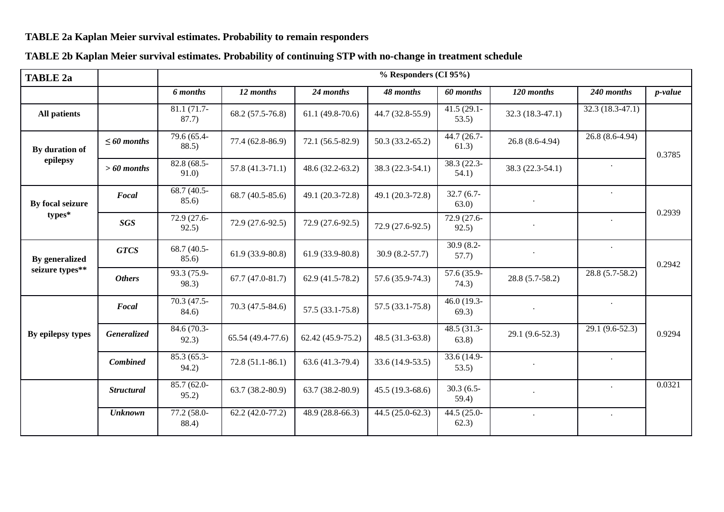## **TABLE 2a Kaplan Meier survival estimates. Probability to remain responders**

## **TABLE 2a % Responders (CI 95%)** *6 months 12 months 24 months 48 months 60 months 120 months 240 months p-value***All patients** 81.1 (71.7- 87.7) $\begin{array}{|c|c|c|c|c|c|c|c|} \hline 1.7 & 68.2 & (57.5-76.8) & 61.1 & (49.8-70.6) & 44.7 & (32.8-55.9) & \hline 41.5 & (29.1- & 32.3 & (18.3-47.1) & 32.3 & (18.3-47.1) \ \hline \end{array}$ **By duration ofepilepsy***≤ 60 months* 79.6 (65.4- 88.5) $\begin{array}{|c|c|c|c|c|c|c|c|} \hline \end{array}$  77.4 (62.8-86.9) 72.1 (56.5-82.9) 50.3 (33.2-65.2)  $\begin{array}{|c|c|c|c|c|} \hline \end{array}$  44.7 (26.7- 26.8 (8.6-4.94) 26.8 (8.6-4.94) 26.8 (8.6-4.94) 0.3785*> 60 months* $82.8 (68.5-91.0)$  $\begin{array}{|l|c|c|c|c|c|c|c|} \hline 57.8 & (41.3-71.1) & 48.6 & (32.2-63.2) & 38.3 & (22.3-54.1) & 38.3 & (22.3-54.1) & 54.1) \hline \end{array}$  . **By focal seizuretypes\****Focal* 68.7 (40.5- 85.6) $\begin{bmatrix} 68.7 \ (40.5-85.6) \end{bmatrix}$  49.1 (20.3-72.8) 49.1 (20.3-72.8) 32.7 (6.7-63.0)  $\left.\begin{matrix} 0.7 \\ 0.7 \end{matrix}\right|$  .  $\left.\begin{matrix} 0.7 \\ 0.7 \end{matrix}\right|$ 0.2939*SGS* $72.9 (27.6 - 92.5)$  $\begin{array}{|c|c|c|c|c|c|c|c|c|} \hline \end{array}$  72.9 (27.6-92.5) 72.9 (27.6-92.5) 72.9 (27.6-92.5) 72.9 (27.6-92.5) 72.9 (27.6-92.5) 72.9 (27.6-92.5) **By generalized seizure types\*\****GTCS* 68.7 (40.5- 85.6)61.9 (33.9-80.8) 61.9 (33.9-80.8) 30.9 (8.2-57.7) 30.9 (8.2-57.7))  $\qquad$ .0.2942*Others* 93.3 (75.9- 98.3) $\begin{array}{|c|c|c|c|c|c|c|c|} \hline \end{array}$  67.7 (47.0-81.7) 62.9 (41.5-78.2) 57.6 (35.9-74.3)  $\begin{array}{|c|c|c|c|c|} \hline \end{array}$  57.6 (35.9-74.3)  $\begin{array}{|c|c|c|c|c|} \hline \end{array}$  28.8 (5.7-58.2)  $\hline \begin{array}{|c|c|c|c|} \hline \end{array}$  28.8 (5.7-58.2)  $\$ **By epilepsy types***Focal* 70.3 (47.5- 84.6) $\begin{array}{|c|c|c|c|c|c|c|c|} \hline \end{array}$  70.3 (47.5-84.6) 57.5 (33.1-75.8) 57.5 (33.1-75.8)  $\begin{array}{|c|c|c|c|c|} \hline \end{array}$  57.5 (33.1-75.8)  $\begin{array}{|c|c|c|c|c|} \hline \end{array}$  46.0 (19.3- 69.3)  $\hline \end{array}$ *Generalized* 0.9294 84.6 (70.3- 92.3) 65.54 (49.4-77.6) 62.42 (45.9-75.2) 48.5 (31.3-63.8) 48.5 (31.3- 63.8) 29.1 (9.6-52.3) 29.1 (9.6-52.3) *Combined* 85.3 (65.3- 94.2) $\begin{array}{|l|c|c|c|c|c|}\n\hline\n & 72.8 & (51.1-86.1) & 63.6 & (41.3-79.4) & 33.6 & (14.9-53.5) & 33.6 & (14.9-53.5) \\
\hline\n\end{array}$  $\begin{array}{c|c|c|c|c|c} \cdots \end{array}$ *Structural* 85.7 (62.0- 95.2)63.7 (38.2-80.9) 63.7 (38.2-80.9) 45.5 (19.3-68.6) 30.3 (6.5-<br>59.4)  $\begin{bmatrix} 0.0321 \\ 0.0321 \end{bmatrix}$ *Unknown* 77.2 (58.0- 88.4)62.2 (42.0-77.2) 48.9 (28.8-66.3) 44.5 (25.0-62.3) 44.5 (25.0-62.3). .

## **TABLE 2b Kaplan Meier survival estimates. Probability of continuing STP with no-change in treatment schedule**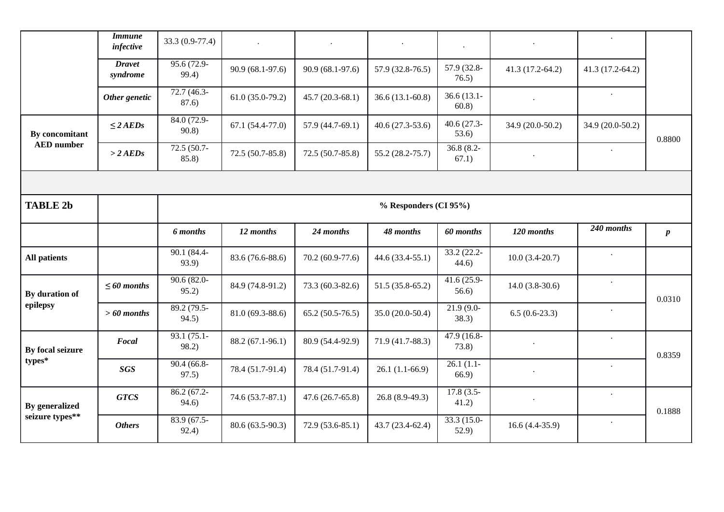|                                          | <b>Immune</b><br>infective | 33.3 (0.9-77.4)       | $\ddot{\phantom{1}}$ |                   |                     | $\ddot{\phantom{0}}$   | $\bullet$         |                      |                  |  |  |
|------------------------------------------|----------------------------|-----------------------|----------------------|-------------------|---------------------|------------------------|-------------------|----------------------|------------------|--|--|
|                                          | <b>Dravet</b><br>syndrome  | 95.6 (72.9-<br>99.4)  | 90.9 (68.1-97.6)     | 90.9 (68.1-97.6)  | 57.9 (32.8-76.5)    | 57.9 (32.8-<br>76.5)   | $41.3(17.2-64.2)$ | $41.3(17.2-64.2)$    |                  |  |  |
|                                          | Other genetic              | $72.7(46.3-$<br>87.6) | $61.0(35.0-79.2)$    | $45.7(20.3-68.1)$ | $36.6(13.1-60.8)$   | $36.6(13.1 -$<br>60.8) |                   |                      |                  |  |  |
| By concomitant<br><b>AED</b> number      | $\leq$ 2 AEDs              | 84.0 (72.9-<br>90.8   | $67.1(54.4-77.0)$    | 57.9 (44.7-69.1)  | $40.6(27.3-53.6)$   | $40.6(27.3-$<br>53.6)  | 34.9 (20.0-50.2)  | 34.9 (20.0-50.2)     | 0.8800           |  |  |
|                                          | $>$ 2 AEDs                 | 72.5 (50.7-<br>85.8)  | 72.5 (50.7-85.8)     | $72.5(50.7-85.8)$ | $55.2(28.2 - 75.7)$ | $36.8(8.2 -$<br>67.1)  | $\bullet$         |                      |                  |  |  |
|                                          |                            |                       |                      |                   |                     |                        |                   |                      |                  |  |  |
| <b>TABLE 2b</b>                          |                            | % Responders (CI 95%) |                      |                   |                     |                        |                   |                      |                  |  |  |
|                                          |                            | <b>6</b> months       | 12 months            | 24 months         | 48 months           | 60 months              | 120 months        | 240 months           | $\boldsymbol{p}$ |  |  |
|                                          |                            |                       |                      |                   |                     |                        |                   |                      |                  |  |  |
| <b>All patients</b>                      |                            | 90.1 (84.4-<br>93.9)  | 83.6 (76.6-88.6)     | 70.2 (60.9-77.6)  | $44.6(33.4-55.1)$   | 33.2 (22.2-<br>44.6)   | $10.0(3.4-20.7)$  |                      |                  |  |  |
| By duration of                           | $\leq 60$ months           | $90.6(82.0-$<br>95.2) | 84.9 (74.8-91.2)     | 73.3 (60.3-82.6)  | $51.5(35.8-65.2)$   | $41.6(25.9-$<br>56.6)  | $14.0(3.8-30.6)$  | $\Box$               |                  |  |  |
| epilepsy                                 | $>60$ months               | 89.2 (79.5-<br>94.5)  | 81.0 (69.3-88.6)     | $65.2(50.5-76.5)$ | $35.0(20.0-50.4)$   | $21.9(9.0-$<br>38.3)   | $6.5(0.6-23.3)$   |                      | 0.0310           |  |  |
| By focal seizure                         | Focal                      | 93.1 (75.1-<br>98.2)  | 88.2 (67.1-96.1)     | 80.9 (54.4-92.9)  | 71.9 (41.7-88.3)    | 47.9 (16.8-<br>73.8)   |                   | $\bullet$            |                  |  |  |
| types*                                   | <b>SGS</b>                 | $90.4(66.8-$<br>97.5) | 78.4 (51.7-91.4)     | 78.4 (51.7-91.4)  | $26.1(1.1-66.9)$    | $26.1(1.1-$<br>66.9    | $\bullet$         |                      | 0.8359           |  |  |
| <b>By generalized</b><br>seizure types** | <b>GTCS</b>                | 86.2 (67.2-<br>94.6)  | 74.6 (53.7-87.1)     | $47.6(26.7-65.8)$ | $26.8(8.9-49.3)$    | $17.8(3.5-$<br>41.2)   | $\cdot$           | $\ddot{\phantom{0}}$ | 0.1888           |  |  |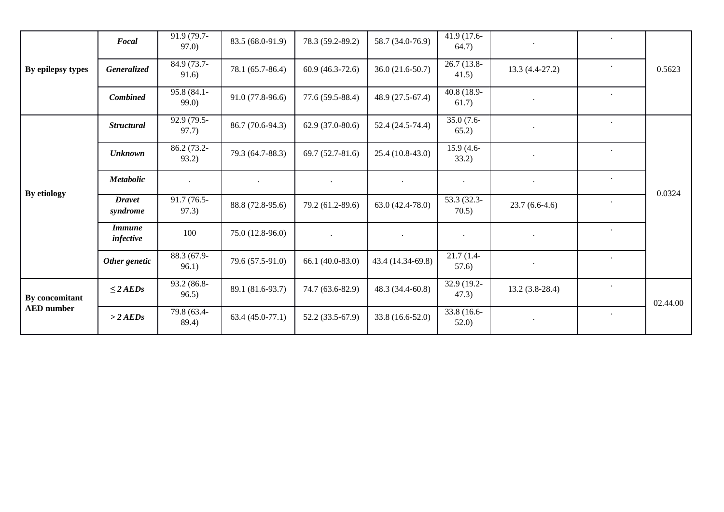| By epilepsy types                   | Focal                      | 91.9 (79.7-<br>97.0  | 83.5 (68.0-91.9)     | 78.3 (59.2-89.2)  | 58.7 (34.0-76.9)  | $41.9(17.6-$<br>64.7) |                  |           | 0.5623   |
|-------------------------------------|----------------------------|----------------------|----------------------|-------------------|-------------------|-----------------------|------------------|-----------|----------|
|                                     | <b>Generalized</b>         | 84.9 (73.7-<br>91.6) | 78.1 (65.7-86.4)     | $60.9(46.3-72.6)$ | $36.0(21.6-50.7)$ | $26.7(13.8-$<br>41.5) | $13.3(4.4-27.2)$ |           |          |
|                                     | <b>Combined</b>            | 95.8 (84.1-<br>99.0  | $91.0(77.8-96.6)$    | 77.6 (59.5-88.4)  | 48.9 (27.5-67.4)  | 40.8 (18.9-<br>61.7)  |                  | $\bullet$ |          |
| By etiology                         | <b>Structural</b>          | 92.9 (79.5-<br>97.7) | 86.7 (70.6-94.3)     | $62.9(37.0-80.6)$ | $52.4(24.5-74.4)$ | $35.0(7.6 -$<br>65.2) | $\bullet$        | $\bullet$ | 0.0324   |
|                                     | <b>Unknown</b>             | 86.2 (73.2-<br>93.2) | 79.3 (64.7-88.3)     | 69.7 (52.7-81.6)  | $25.4(10.8-43.0)$ | $15.9(4.6-$<br>33.2)  |                  | $\bullet$ |          |
|                                     | <b>Metabolic</b>           | $\ddot{\phantom{a}}$ | $\ddot{\phantom{0}}$ | $\bullet$         | $\bullet$         | $\bullet$             | $\bullet$        | $\bullet$ |          |
|                                     | <b>Dravet</b><br>syndrome  | 91.7 (76.5-<br>97.3) | 88.8 (72.8-95.6)     | 79.2 (61.2-89.6)  | 63.0 (42.4-78.0)  | 53.3 (32.3-<br>70.5)  | $23.7(6.6-4.6)$  | $\bullet$ |          |
|                                     | <i>Immune</i><br>infective | 100                  | $75.0(12.8-96.0)$    | $\bullet$         | $\bullet$         | $\cdot$               | $\bullet$        | $\bullet$ |          |
|                                     | Other genetic              | 88.3 (67.9-<br>96.1) | 79.6 (57.5-91.0)     | $66.1(40.0-83.0)$ | 43.4 (14.34-69.8) | $21.7(1.4-$<br>57.6)  |                  |           |          |
| By concomitant<br><b>AED</b> number | $\leq$ 2 AEDs              | 93.2 (86.8-<br>96.5) | 89.1 (81.6-93.7)     | 74.7 (63.6-82.9)  | 48.3 (34.4-60.8)  | 32.9 (19.2-<br>47.3)  | $13.2(3.8-28.4)$ | $\bullet$ | 02.44.00 |
|                                     | $>$ 2 AEDs                 | 79.8 (63.4-<br>89.4) | $63.4(45.0-77.1)$    | 52.2 (33.5-67.9)  | 33.8 (16.6-52.0)  | 33.8 (16.6-<br>52.0   | $\bullet$        | $\bullet$ |          |